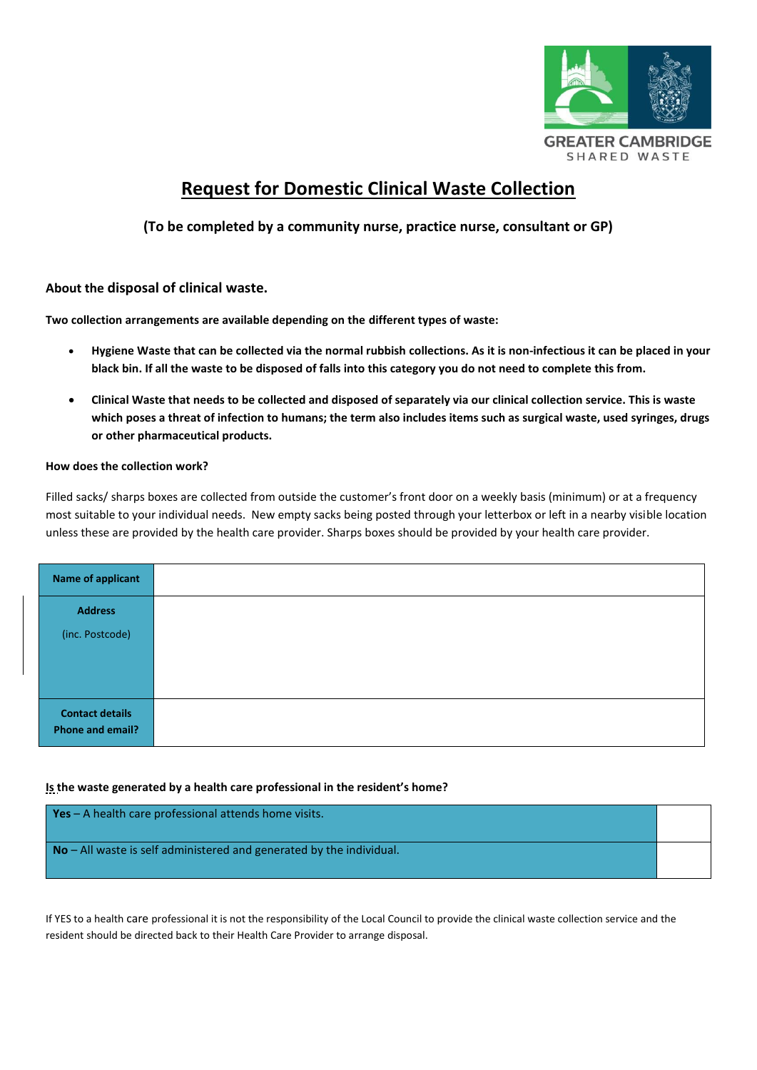

# **Request for Domestic Clinical Waste Collection**

# **(To be completed by a community nurse, practice nurse, consultant or GP)**

## **About the disposal of clinical waste.**

**Two collection arrangements are available depending on the different types of waste:**

- **Hygiene Waste that can be collected via the normal rubbish collections. As it is non-infectious it can be placed in your black bin. If all the waste to be disposed of falls into this category you do not need to complete this from.**
- **Clinical Waste that needs to be collected and disposed of separately via our clinical collection service. This is waste which poses a threat of infection to humans; the term also includes items such as surgical waste, used syringes, drugs or other pharmaceutical products.**

## **How does the collection work?**

Filled sacks/ sharps boxes are collected from outside the customer's front door on a weekly basis (minimum) or at a frequency most suitable to your individual needs. New empty sacks being posted through your letterbox or left in a nearby visible location unless these are provided by the health care provider. Sharps boxes should be provided by your health care provider.

| <b>Name of applicant</b> |  |
|--------------------------|--|
| <b>Address</b>           |  |
| (inc. Postcode)          |  |
|                          |  |
|                          |  |
| <b>Contact details</b>   |  |
| Phone and email?         |  |

## **Is the waste generated by a health care professional in the resident's home?**

**Yes** – A health care professional attends home visits. **No** – All waste is self administered and generated by the individual.

If YES to a health care professional it is not the responsibility of the Local Council to provide the clinical waste collection service and the resident should be directed back to their Health Care Provider to arrange disposal.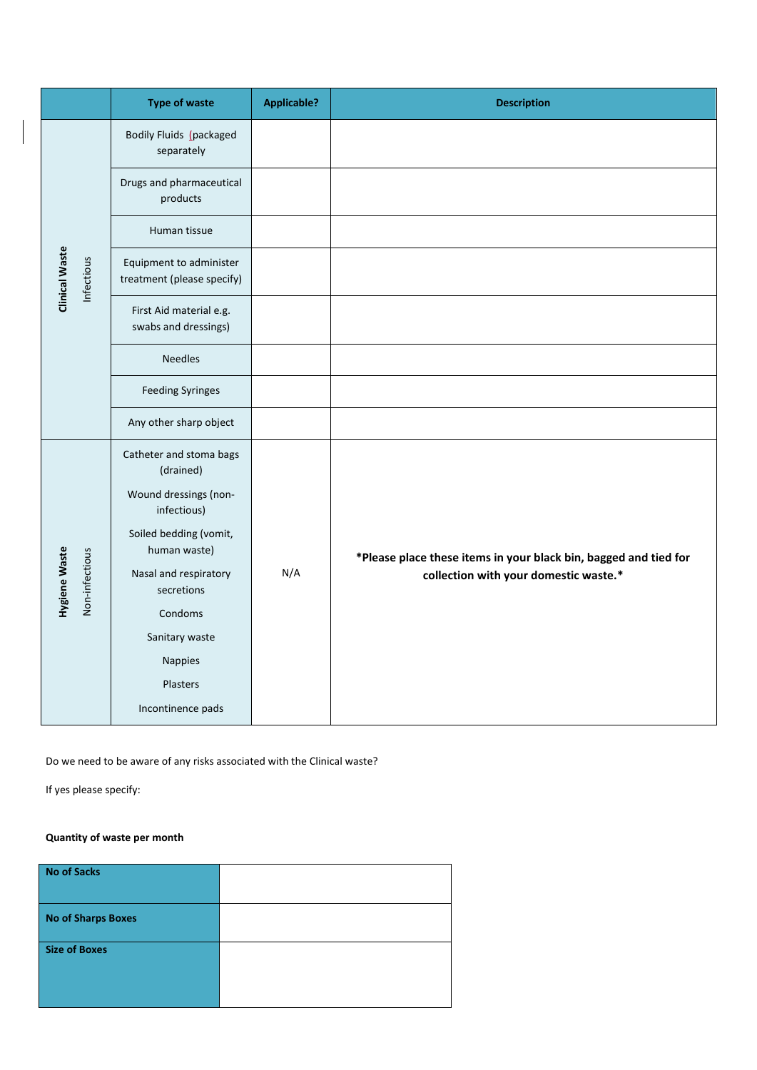|  |                                        | <b>Type of waste</b>                                  | <b>Applicable?</b> | <b>Description</b>                                                                                        |
|--|----------------------------------------|-------------------------------------------------------|--------------------|-----------------------------------------------------------------------------------------------------------|
|  |                                        | Bodily Fluids (packaged<br>separately                 |                    |                                                                                                           |
|  |                                        | Drugs and pharmaceutical<br>products                  |                    |                                                                                                           |
|  |                                        | Human tissue                                          |                    |                                                                                                           |
|  | <b>Clinical Waste</b><br>Infectious    | Equipment to administer<br>treatment (please specify) |                    |                                                                                                           |
|  |                                        | First Aid material e.g.<br>swabs and dressings)       |                    |                                                                                                           |
|  |                                        | <b>Needles</b>                                        |                    |                                                                                                           |
|  |                                        | <b>Feeding Syringes</b>                               |                    |                                                                                                           |
|  |                                        | Any other sharp object                                |                    |                                                                                                           |
|  |                                        | Catheter and stoma bags<br>(drained)                  |                    |                                                                                                           |
|  |                                        | Wound dressings (non-<br>infectious)                  |                    |                                                                                                           |
|  |                                        | Soiled bedding (vomit,<br>human waste)                | N/A                | *Please place these items in your black bin, bagged and tied for<br>collection with your domestic waste.* |
|  | <b>Hygiene Waste</b><br>Non-infectious | Nasal and respiratory                                 |                    |                                                                                                           |
|  |                                        | secretions                                            |                    |                                                                                                           |
|  |                                        | Condoms                                               |                    |                                                                                                           |
|  |                                        | Sanitary waste                                        |                    |                                                                                                           |
|  |                                        | Nappies                                               |                    |                                                                                                           |
|  |                                        | Plasters                                              |                    |                                                                                                           |
|  |                                        | Incontinence pads                                     |                    |                                                                                                           |

Do we need to be aware of any risks associated with the Clinical waste?

If yes please specify:

# **Quantity of waste per month**

| No of Sacks          |  |
|----------------------|--|
| No of Sharps Boxes   |  |
| <b>Size of Boxes</b> |  |